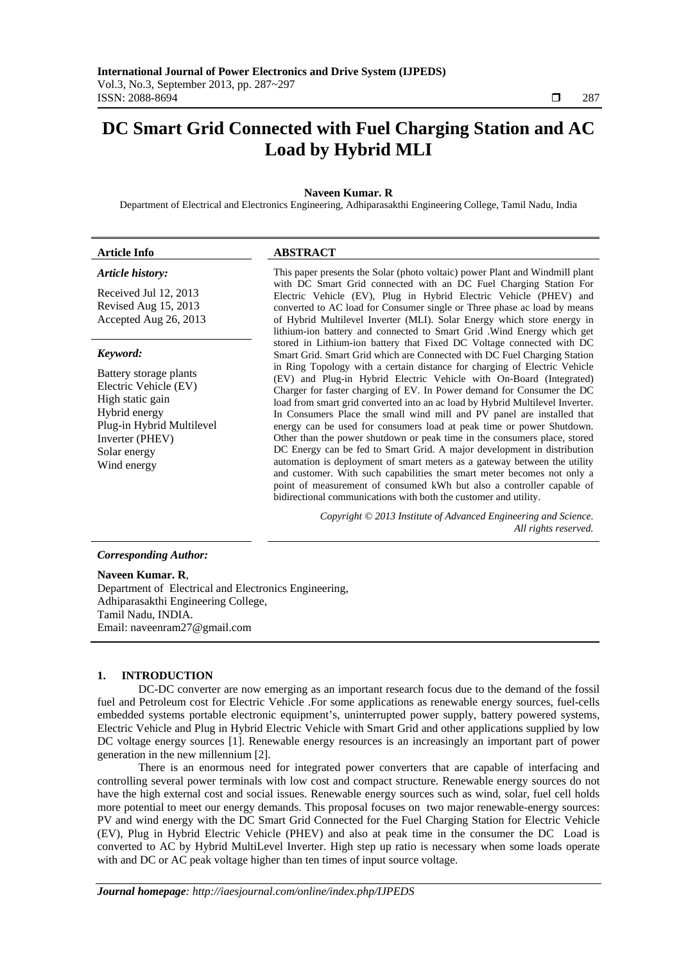# **DC Smart Grid Connected with Fuel Charging Station and AC Load by Hybrid MLI**

# **Naveen Kumar. R**

Department of Electrical and Electronics Engineering, Adhiparasakthi Engineering College, Tamil Nadu, India

#### *Article history:*

Received Jul 12, 2013 Revised Aug 15, 2013 Accepted Aug 26, 2013

#### *Keyword:*

Battery storage plants Electric Vehicle (EV) High static gain Hybrid energy Plug-in Hybrid Multilevel Inverter (PHEV) Solar energy Wind energy

## **Article Info ABSTRACT**

This paper presents the Solar (photo voltaic) power Plant and Windmill plant with DC Smart Grid connected with an DC Fuel Charging Station For Electric Vehicle (EV), Plug in Hybrid Electric Vehicle (PHEV) and converted to AC load for Consumer single or Three phase ac load by means of Hybrid Multilevel Inverter (MLI). Solar Energy which store energy in lithium-ion battery and connected to Smart Grid .Wind Energy which get stored in Lithium-ion battery that Fixed DC Voltage connected with DC Smart Grid. Smart Grid which are Connected with DC Fuel Charging Station in Ring Topology with a certain distance for charging of Electric Vehicle (EV) and Plug-in Hybrid Electric Vehicle with On-Board (Integrated) Charger for faster charging of EV. In Power demand for Consumer the DC load from smart grid converted into an ac load by Hybrid Multilevel Inverter. In Consumers Place the small wind mill and PV panel are installed that energy can be used for consumers load at peak time or power Shutdown. Other than the power shutdown or peak time in the consumers place, stored DC Energy can be fed to Smart Grid. A major development in distribution automation is deployment of smart meters as a gateway between the utility and customer. With such capabilities the smart meter becomes not only a point of measurement of consumed kWh but also a controller capable of bidirectional communications with both the customer and utility.

> *Copyright © 2013 Institute of Advanced Engineering and Science. All rights reserved.*

# *Corresponding Author:*

**Naveen Kumar. R**, Department of Electrical and Electronics Engineering, Adhiparasakthi Engineering College, Tamil Nadu, INDIA. Email: naveenram27@gmail.com

# **1. INTRODUCTION**

DC-DC converter are now emerging as an important research focus due to the demand of the fossil fuel and Petroleum cost for Electric Vehicle .For some applications as renewable energy sources, fuel-cells embedded systems portable electronic equipment's, uninterrupted power supply, battery powered systems, Electric Vehicle and Plug in Hybrid Electric Vehicle with Smart Grid and other applications supplied by low DC voltage energy sources [1]. Renewable energy resources is an increasingly an important part of power generation in the new millennium [2].

There is an enormous need for integrated power converters that are capable of interfacing and controlling several power terminals with low cost and compact structure. Renewable energy sources do not have the high external cost and social issues. Renewable energy sources such as wind, solar, fuel cell holds more potential to meet our energy demands. This proposal focuses on two major renewable-energy sources: PV and wind energy with the DC Smart Grid Connected for the Fuel Charging Station for Electric Vehicle (EV), Plug in Hybrid Electric Vehicle (PHEV) and also at peak time in the consumer the DC Load is converted to AC by Hybrid MultiLevel Inverter. High step up ratio is necessary when some loads operate with and DC or AC peak voltage higher than ten times of input source voltage.

ֺֺ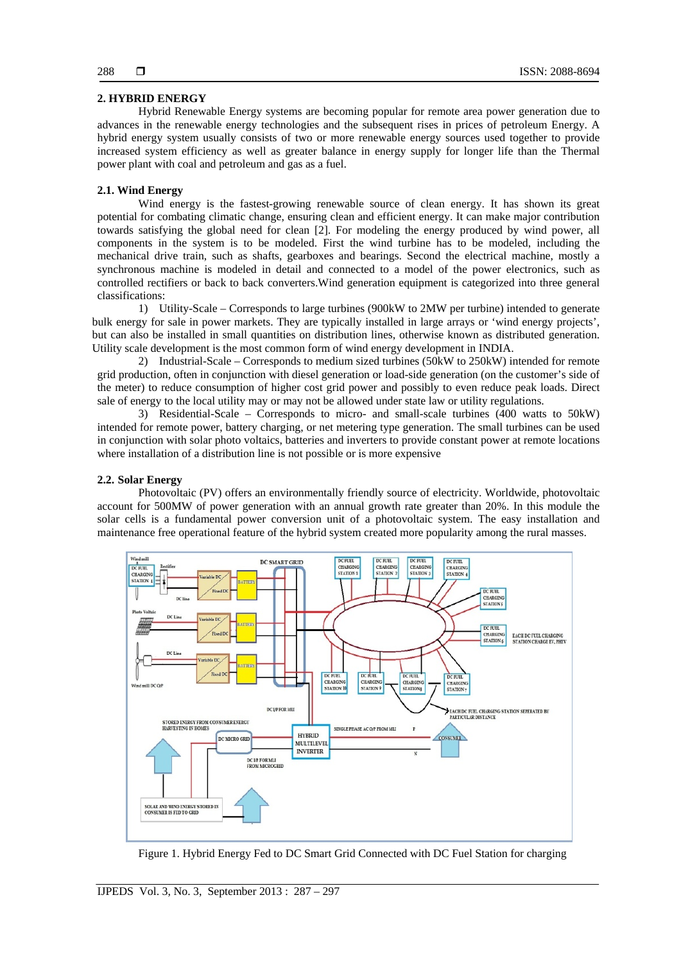# **2. HYBRID ENERGY**

Hybrid Renewable Energy systems are becoming popular for remote area power generation due to advances in the renewable energy technologies and the subsequent rises in prices of petroleum Energy. A hybrid energy system usually consists of two or more renewable energy sources used together to provide increased system efficiency as well as greater balance in energy supply for longer life than the Thermal power plant with coal and petroleum and gas as a fuel.

## **2.1. Wind Energy**

Wind energy is the fastest-growing renewable source of clean energy. It has shown its great potential for combating climatic change, ensuring clean and efficient energy. It can make major contribution towards satisfying the global need for clean [2]. For modeling the energy produced by wind power, all components in the system is to be modeled. First the wind turbine has to be modeled, including the mechanical drive train, such as shafts, gearboxes and bearings. Second the electrical machine, mostly a synchronous machine is modeled in detail and connected to a model of the power electronics, such as controlled rectifiers or back to back converters.Wind generation equipment is categorized into three general classifications:

1) Utility-Scale – Corresponds to large turbines (900kW to 2MW per turbine) intended to generate bulk energy for sale in power markets. They are typically installed in large arrays or 'wind energy projects', but can also be installed in small quantities on distribution lines, otherwise known as distributed generation. Utility scale development is the most common form of wind energy development in INDIA.

2) Industrial-Scale – Corresponds to medium sized turbines (50kW to 250kW) intended for remote grid production, often in conjunction with diesel generation or load-side generation (on the customer's side of the meter) to reduce consumption of higher cost grid power and possibly to even reduce peak loads. Direct sale of energy to the local utility may or may not be allowed under state law or utility regulations.

3) Residential-Scale – Corresponds to micro- and small-scale turbines (400 watts to 50kW) intended for remote power, battery charging, or net metering type generation. The small turbines can be used in conjunction with solar photo voltaics, batteries and inverters to provide constant power at remote locations where installation of a distribution line is not possible or is more expensive

#### **2.2. Solar Energy**

Photovoltaic (PV) offers an environmentally friendly source of electricity. Worldwide, photovoltaic account for 500MW of power generation with an annual growth rate greater than 20%. In this module the solar cells is a fundamental power conversion unit of a photovoltaic system. The easy installation and maintenance free operational feature of the hybrid system created more popularity among the rural masses.



Figure 1. Hybrid Energy Fed to DC Smart Grid Connected with DC Fuel Station for charging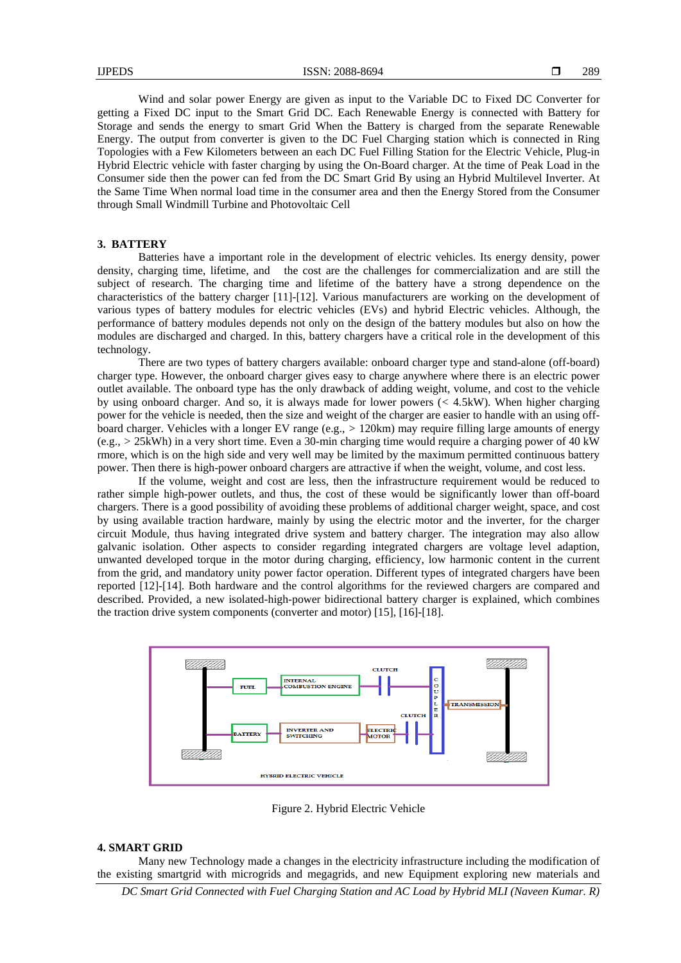Wind and solar power Energy are given as input to the Variable DC to Fixed DC Converter for getting a Fixed DC input to the Smart Grid DC. Each Renewable Energy is connected with Battery for Storage and sends the energy to smart Grid When the Battery is charged from the separate Renewable Energy. The output from converter is given to the DC Fuel Charging station which is connected in Ring Topologies with a Few Kilometers between an each DC Fuel Filling Station for the Electric Vehicle, Plug-in Hybrid Electric vehicle with faster charging by using the On-Board charger. At the time of Peak Load in the Consumer side then the power can fed from the DC Smart Grid By using an Hybrid Multilevel Inverter. At the Same Time When normal load time in the consumer area and then the Energy Stored from the Consumer through Small Windmill Turbine and Photovoltaic Cell

# **3. BATTERY**

Batteries have a important role in the development of electric vehicles. Its energy density, power density, charging time, lifetime, and the cost are the challenges for commercialization and are still the subject of research. The charging time and lifetime of the battery have a strong dependence on the characteristics of the battery charger [11]-[12]. Various manufacturers are working on the development of various types of battery modules for electric vehicles (EVs) and hybrid Electric vehicles. Although, the performance of battery modules depends not only on the design of the battery modules but also on how the modules are discharged and charged. In this, battery chargers have a critical role in the development of this technology.

There are two types of battery chargers available: onboard charger type and stand-alone (off-board) charger type. However, the onboard charger gives easy to charge anywhere where there is an electric power outlet available. The onboard type has the only drawback of adding weight, volume, and cost to the vehicle by using onboard charger. And so, it is always made for lower powers (*<* 4*.*5kW). When higher charging power for the vehicle is needed, then the size and weight of the charger are easier to handle with an using offboard charger. Vehicles with a longer EV range (e.g., *>* 120km) may require filling large amounts of energy (e.g., *>* 25kWh) in a very short time. Even a 30-min charging time would require a charging power of 40 kW rmore, which is on the high side and very well may be limited by the maximum permitted continuous battery power. Then there is high-power onboard chargers are attractive if when the weight, volume, and cost less.

If the volume, weight and cost are less, then the infrastructure requirement would be reduced to rather simple high-power outlets, and thus, the cost of these would be significantly lower than off-board chargers. There is a good possibility of avoiding these problems of additional charger weight, space, and cost by using available traction hardware, mainly by using the electric motor and the inverter, for the charger circuit Module, thus having integrated drive system and battery charger. The integration may also allow galvanic isolation. Other aspects to consider regarding integrated chargers are voltage level adaption, unwanted developed torque in the motor during charging, efficiency, low harmonic content in the current from the grid, and mandatory unity power factor operation. Different types of integrated chargers have been reported [12]-[14]. Both hardware and the control algorithms for the reviewed chargers are compared and described. Provided, a new isolated-high-power bidirectional battery charger is explained, which combines the traction drive system components (converter and motor) [15], [16]-[18].



Figure 2. Hybrid Electric Vehicle

#### **4. SMART GRID**

Many new Technology made a changes in the electricity infrastructure including the modification of the existing smartgrid with microgrids and megagrids, and new Equipment exploring new materials and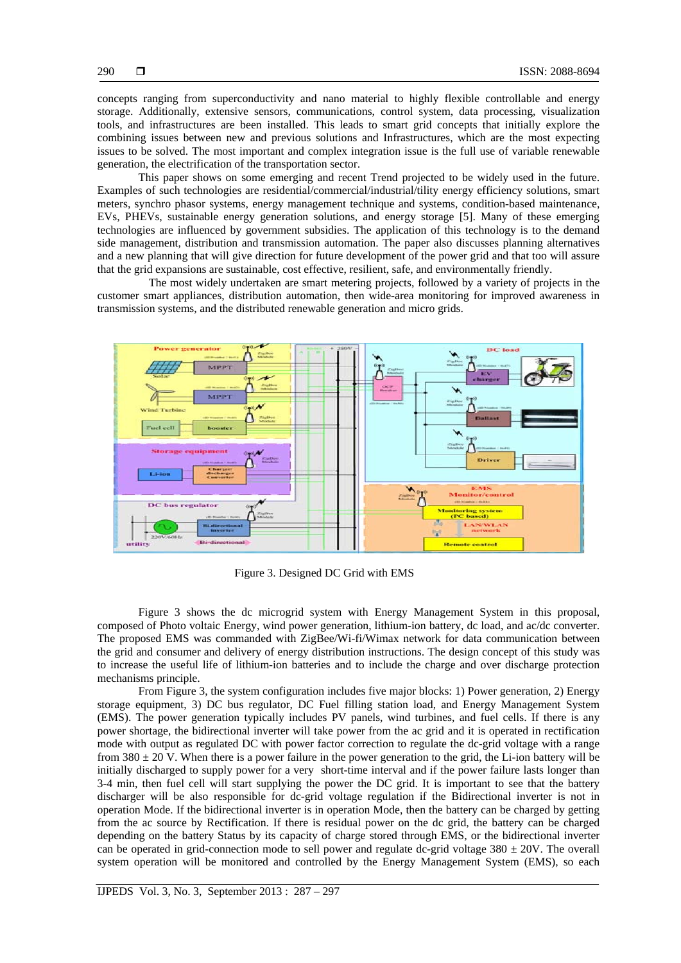concepts ranging from superconductivity and nano material to highly flexible controllable and energy storage. Additionally, extensive sensors, communications, control system, data processing, visualization tools, and infrastructures are been installed. This leads to smart grid concepts that initially explore the combining issues between new and previous solutions and Infrastructures, which are the most expecting issues to be solved. The most important and complex integration issue is the full use of variable renewable generation, the electrification of the transportation sector.

This paper shows on some emerging and recent Trend projected to be widely used in the future. Examples of such technologies are residential/commercial/industrial/tility energy efficiency solutions, smart meters, synchro phasor systems, energy management technique and systems, condition-based maintenance, EVs, PHEVs, sustainable energy generation solutions, and energy storage [5]. Many of these emerging technologies are influenced by government subsidies. The application of this technology is to the demand side management, distribution and transmission automation. The paper also discusses planning alternatives and a new planning that will give direction for future development of the power grid and that too will assure that the grid expansions are sustainable, cost effective, resilient, safe, and environmentally friendly.

 The most widely undertaken are smart metering projects, followed by a variety of projects in the customer smart appliances, distribution automation, then wide-area monitoring for improved awareness in transmission systems, and the distributed renewable generation and micro grids.



Figure 3. Designed DC Grid with EMS

Figure 3 shows the dc microgrid system with Energy Management System in this proposal, composed of Photo voltaic Energy, wind power generation, lithium-ion battery, dc load, and ac/dc converter. The proposed EMS was commanded with ZigBee/Wi-fi/Wimax network for data communication between the grid and consumer and delivery of energy distribution instructions. The design concept of this study was to increase the useful life of lithium-ion batteries and to include the charge and over discharge protection mechanisms principle.

From Figure 3, the system configuration includes five major blocks: 1) Power generation, 2) Energy storage equipment, 3) DC bus regulator, DC Fuel filling station load, and Energy Management System (EMS). The power generation typically includes PV panels, wind turbines, and fuel cells. If there is any power shortage, the bidirectional inverter will take power from the ac grid and it is operated in rectification mode with output as regulated DC with power factor correction to regulate the dc-grid voltage with a range from  $380 \pm 20$  V. When there is a power failure in the power generation to the grid, the Li-ion battery will be initially discharged to supply power for a very short-time interval and if the power failure lasts longer than 3-4 min, then fuel cell will start supplying the power the DC grid. It is important to see that the battery discharger will be also responsible for dc-grid voltage regulation if the Bidirectional inverter is not in operation Mode. If the bidirectional inverter is in operation Mode, then the battery can be charged by getting from the ac source by Rectification. If there is residual power on the dc grid, the battery can be charged depending on the battery Status by its capacity of charge stored through EMS, or the bidirectional inverter can be operated in grid-connection mode to sell power and regulate dc-grid voltage  $380 \pm 20V$ . The overall system operation will be monitored and controlled by the Energy Management System (EMS), so each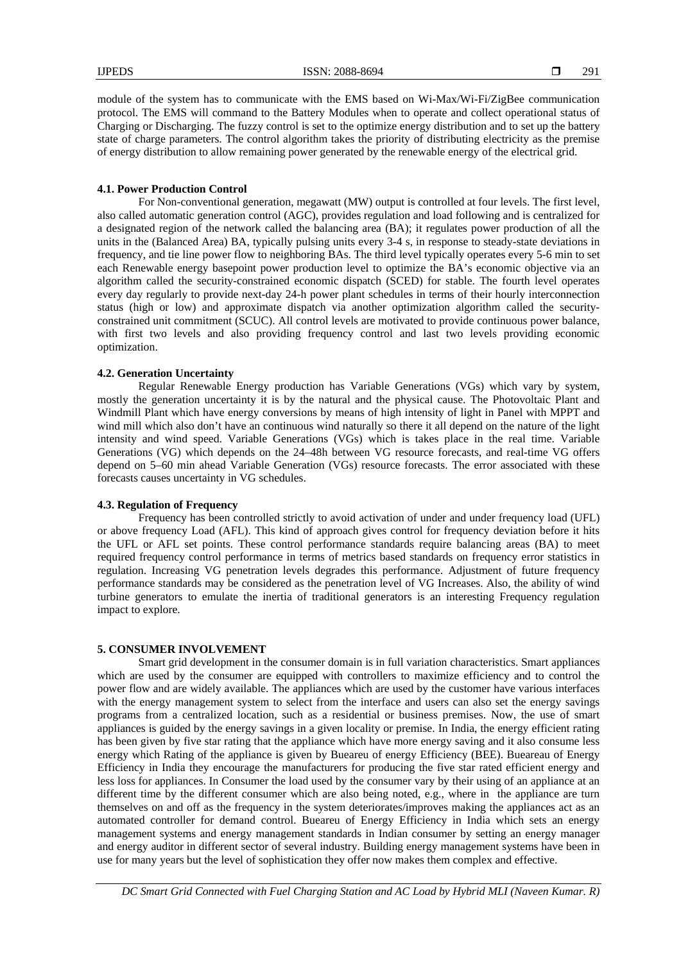module of the system has to communicate with the EMS based on Wi-Max/Wi-Fi/ZigBee communication protocol. The EMS will command to the Battery Modules when to operate and collect operational status of Charging or Discharging. The fuzzy control is set to the optimize energy distribution and to set up the battery state of charge parameters. The control algorithm takes the priority of distributing electricity as the premise of energy distribution to allow remaining power generated by the renewable energy of the electrical grid.

# **4.1. Power Production Control**

For Non-conventional generation, megawatt (MW) output is controlled at four levels. The first level, also called automatic generation control (AGC), provides regulation and load following and is centralized for a designated region of the network called the balancing area (BA); it regulates power production of all the units in the (Balanced Area) BA, typically pulsing units every 3-4 s, in response to steady-state deviations in frequency, and tie line power flow to neighboring BAs. The third level typically operates every 5-6 min to set each Renewable energy basepoint power production level to optimize the BA's economic objective via an algorithm called the security-constrained economic dispatch (SCED) for stable. The fourth level operates every day regularly to provide next-day 24-h power plant schedules in terms of their hourly interconnection status (high or low) and approximate dispatch via another optimization algorithm called the securityconstrained unit commitment (SCUC). All control levels are motivated to provide continuous power balance, with first two levels and also providing frequency control and last two levels providing economic optimization.

# **4.2. Generation Uncertainty**

Regular Renewable Energy production has Variable Generations (VGs) which vary by system, mostly the generation uncertainty it is by the natural and the physical cause. The Photovoltaic Plant and Windmill Plant which have energy conversions by means of high intensity of light in Panel with MPPT and wind mill which also don't have an continuous wind naturally so there it all depend on the nature of the light intensity and wind speed. Variable Generations (VGs) which is takes place in the real time. Variable Generations (VG) which depends on the 24–48h between VG resource forecasts, and real-time VG offers depend on 5–60 min ahead Variable Generation (VGs) resource forecasts. The error associated with these forecasts causes uncertainty in VG schedules.

# **4.3. Regulation of Frequency**

Frequency has been controlled strictly to avoid activation of under and under frequency load (UFL) or above frequency Load (AFL). This kind of approach gives control for frequency deviation before it hits the UFL or AFL set points. These control performance standards require balancing areas (BA) to meet required frequency control performance in terms of metrics based standards on frequency error statistics in regulation. Increasing VG penetration levels degrades this performance. Adjustment of future frequency performance standards may be considered as the penetration level of VG Increases. Also, the ability of wind turbine generators to emulate the inertia of traditional generators is an interesting Frequency regulation impact to explore.

# **5. CONSUMER INVOLVEMENT**

Smart grid development in the consumer domain is in full variation characteristics. Smart appliances which are used by the consumer are equipped with controllers to maximize efficiency and to control the power flow and are widely available. The appliances which are used by the customer have various interfaces with the energy management system to select from the interface and users can also set the energy savings programs from a centralized location, such as a residential or business premises. Now, the use of smart appliances is guided by the energy savings in a given locality or premise. In India, the energy efficient rating has been given by five star rating that the appliance which have more energy saving and it also consume less energy which Rating of the appliance is given by Bueareu of energy Efficiency (BEE). Bueareau of Energy Efficiency in India they encourage the manufacturers for producing the five star rated efficient energy and less loss for appliances. In Consumer the load used by the consumer vary by their using of an appliance at an different time by the different consumer which are also being noted, e.g., where in the appliance are turn themselves on and off as the frequency in the system deteriorates/improves making the appliances act as an automated controller for demand control. Bueareu of Energy Efficiency in India which sets an energy management systems and energy management standards in Indian consumer by setting an energy manager and energy auditor in different sector of several industry. Building energy management systems have been in use for many years but the level of sophistication they offer now makes them complex and effective.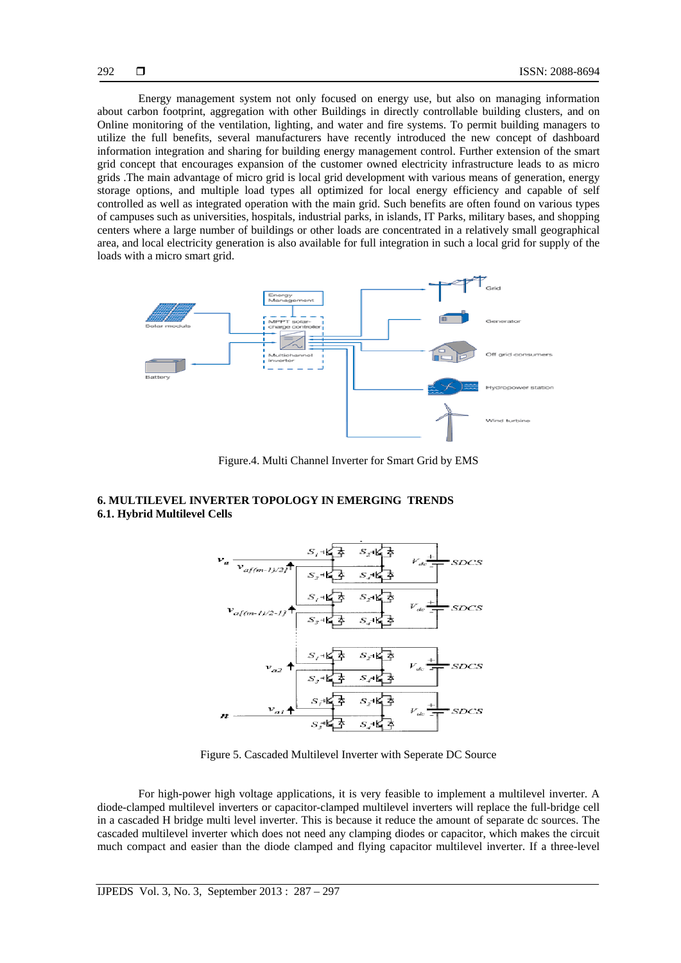Energy management system not only focused on energy use, but also on managing information about carbon footprint, aggregation with other Buildings in directly controllable building clusters, and on Online monitoring of the ventilation, lighting, and water and fire systems. To permit building managers to utilize the full benefits, several manufacturers have recently introduced the new concept of dashboard information integration and sharing for building energy management control. Further extension of the smart grid concept that encourages expansion of the customer owned electricity infrastructure leads to as micro grids .The main advantage of micro grid is local grid development with various means of generation, energy storage options, and multiple load types all optimized for local energy efficiency and capable of self controlled as well as integrated operation with the main grid. Such benefits are often found on various types of campuses such as universities, hospitals, industrial parks, in islands, IT Parks, military bases, and shopping centers where a large number of buildings or other loads are concentrated in a relatively small geographical area, and local electricity generation is also available for full integration in such a local grid for supply of the loads with a micro smart grid.



Figure.4. Multi Channel Inverter for Smart Grid by EMS

# **6. MULTILEVEL INVERTER TOPOLOGY IN EMERGING TRENDS 6.1. Hybrid Multilevel Cells**



Figure 5. Cascaded Multilevel Inverter with Seperate DC Source

For high-power high voltage applications, it is very feasible to implement a multilevel inverter. A diode-clamped multilevel inverters or capacitor-clamped multilevel inverters will replace the full-bridge cell in a cascaded H bridge multi level inverter. This is because it reduce the amount of separate dc sources. The cascaded multilevel inverter which does not need any clamping diodes or capacitor, which makes the circuit much compact and easier than the diode clamped and flying capacitor multilevel inverter. If a three-level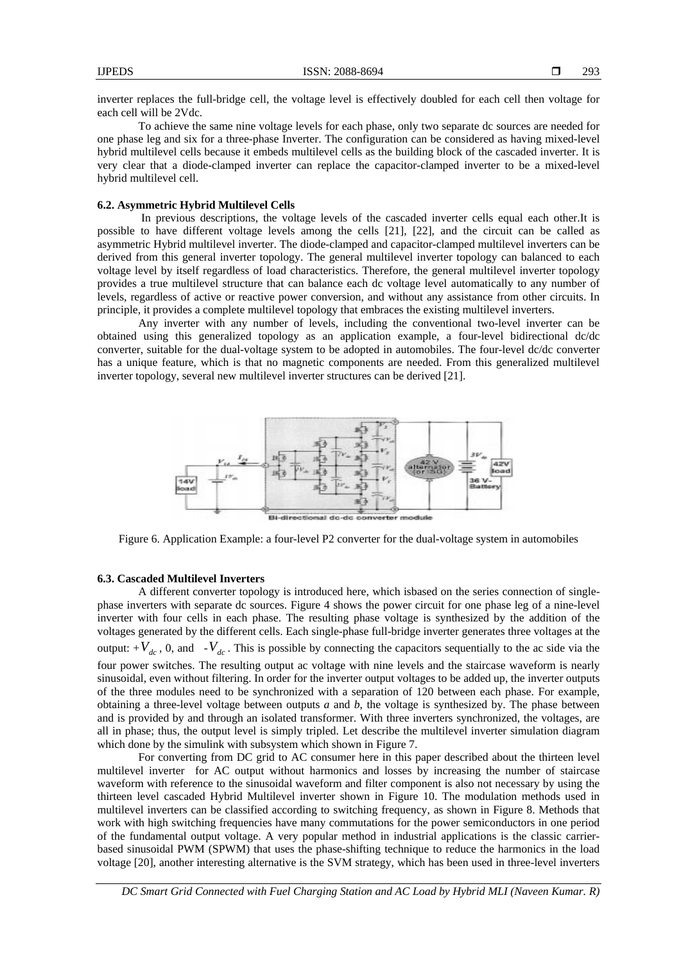inverter replaces the full-bridge cell, the voltage level is effectively doubled for each cell then voltage for each cell will be 2Vdc.

To achieve the same nine voltage levels for each phase, only two separate dc sources are needed for one phase leg and six for a three-phase Inverter. The configuration can be considered as having mixed-level hybrid multilevel cells because it embeds multilevel cells as the building block of the cascaded inverter. It is very clear that a diode-clamped inverter can replace the capacitor-clamped inverter to be a mixed-level hybrid multilevel cell.

## **6.2. Asymmetric Hybrid Multilevel Cells**

In previous descriptions, the voltage levels of the cascaded inverter cells equal each other.It is possible to have different voltage levels among the cells [21], [22], and the circuit can be called as asymmetric Hybrid multilevel inverter. The diode-clamped and capacitor-clamped multilevel inverters can be derived from this general inverter topology. The general multilevel inverter topology can balanced to each voltage level by itself regardless of load characteristics. Therefore, the general multilevel inverter topology provides a true multilevel structure that can balance each dc voltage level automatically to any number of levels, regardless of active or reactive power conversion, and without any assistance from other circuits. In principle, it provides a complete multilevel topology that embraces the existing multilevel inverters.

Any inverter with any number of levels, including the conventional two-level inverter can be obtained using this generalized topology as an application example, a four-level bidirectional dc/dc converter, suitable for the dual-voltage system to be adopted in automobiles. The four-level dc/dc converter has a unique feature, which is that no magnetic components are needed. From this generalized multilevel inverter topology, several new multilevel inverter structures can be derived [21].



Figure 6. Application Example: a four-level P2 converter for the dual-voltage system in automobiles

# **6.3. Cascaded Multilevel Inverters**

A different converter topology is introduced here, which isbased on the series connection of singlephase inverters with separate dc sources. Figure 4 shows the power circuit for one phase leg of a nine-level inverter with four cells in each phase. The resulting phase voltage is synthesized by the addition of the voltages generated by the different cells. Each single-phase full-bridge inverter generates three voltages at the output:  $+V_{dc}$ , 0, and  $-V_{dc}$ . This is possible by connecting the capacitors sequentially to the ac side via the four power switches. The resulting output ac voltage with nine levels and the staircase waveform is nearly sinusoidal, even without filtering. In order for the inverter output voltages to be added up, the inverter outputs of the three modules need to be synchronized with a separation of 120 between each phase. For example, obtaining a three-level voltage between outputs *a* and *b*, the voltage is synthesized by. The phase between and is provided by and through an isolated transformer. With three inverters synchronized, the voltages, are all in phase; thus, the output level is simply tripled. Let describe the multilevel inverter simulation diagram which done by the simulink with subsystem which shown in Figure 7.

For converting from DC grid to AC consumer here in this paper described about the thirteen level multilevel inverter for AC output without harmonics and losses by increasing the number of staircase waveform with reference to the sinusoidal waveform and filter component is also not necessary by using the thirteen level cascaded Hybrid Multilevel inverter shown in Figure 10. The modulation methods used in multilevel inverters can be classified according to switching frequency, as shown in Figure 8. Methods that work with high switching frequencies have many commutations for the power semiconductors in one period of the fundamental output voltage. A very popular method in industrial applications is the classic carrierbased sinusoidal PWM (SPWM) that uses the phase-shifting technique to reduce the harmonics in the load voltage [20], another interesting alternative is the SVM strategy, which has been used in three-level inverters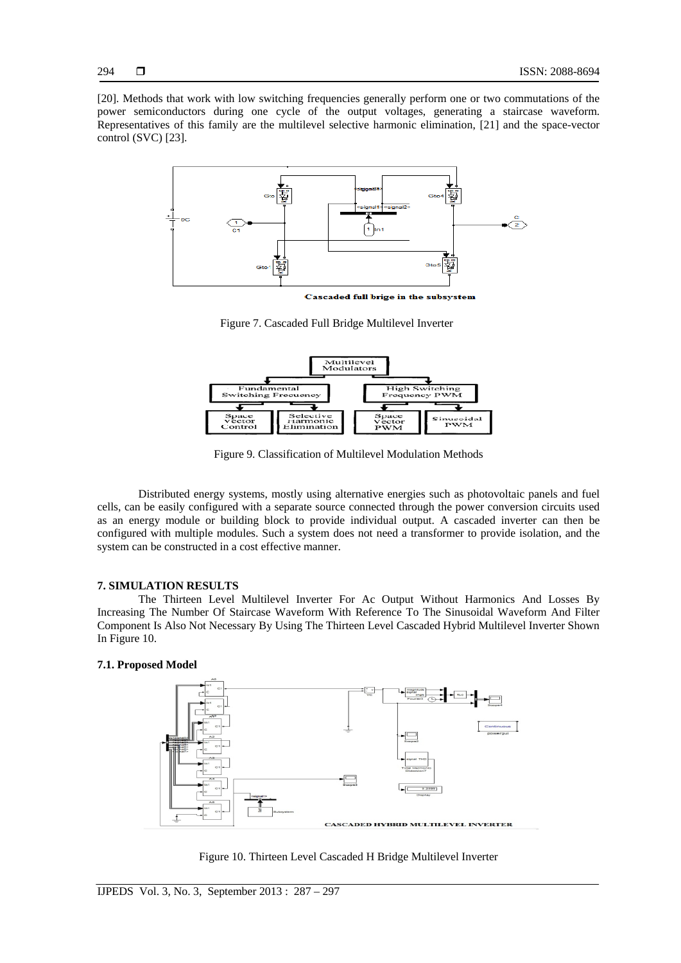[20]. Methods that work with low switching frequencies generally perform one or two commutations of the power semiconductors during one cycle of the output voltages, generating a staircase waveform. Representatives of this family are the multilevel selective harmonic elimination, [21] and the space-vector control (SVC) [23].



Cascaded full brige in the subsystem

Figure 7. Cascaded Full Bridge Multilevel Inverter



Figure 9. Classification of Multilevel Modulation Methods

Distributed energy systems, mostly using alternative energies such as photovoltaic panels and fuel cells, can be easily configured with a separate source connected through the power conversion circuits used as an energy module or building block to provide individual output. A cascaded inverter can then be configured with multiple modules. Such a system does not need a transformer to provide isolation, and the system can be constructed in a cost effective manner.

# **7. SIMULATION RESULTS**

The Thirteen Level Multilevel Inverter For Ac Output Without Harmonics And Losses By Increasing The Number Of Staircase Waveform With Reference To The Sinusoidal Waveform And Filter Component Is Also Not Necessary By Using The Thirteen Level Cascaded Hybrid Multilevel Inverter Shown In Figure 10.

# **7.1. Proposed Model**



Figure 10. Thirteen Level Cascaded H Bridge Multilevel Inverter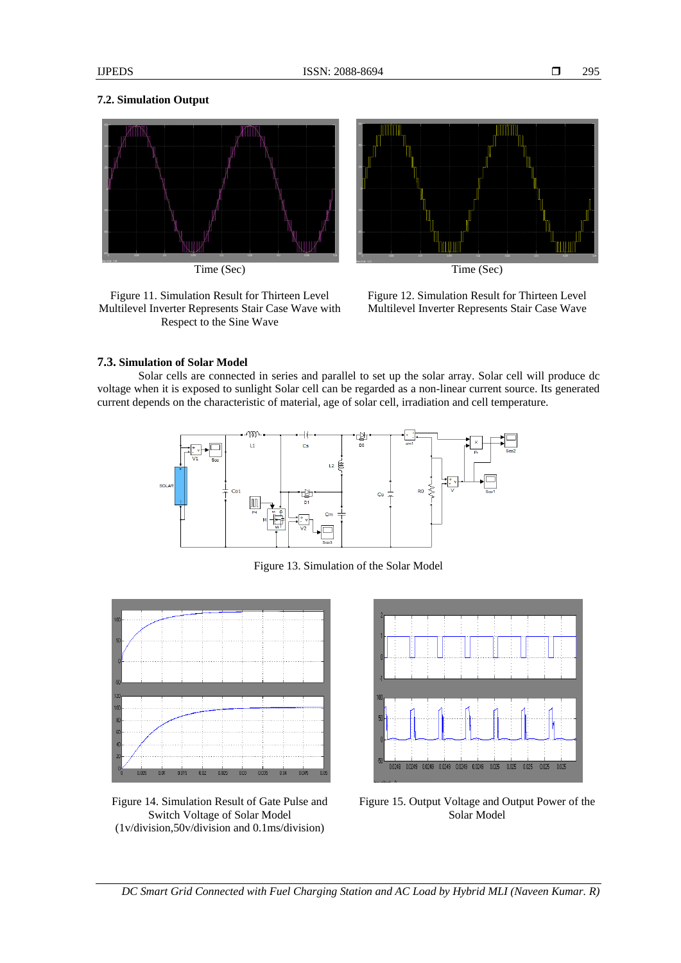# **7.2. Simulation Output**





Time (Sec) Time (Sec)

Figure 11. Simulation Result for Thirteen Level Multilevel Inverter Represents Stair Case Wave with Respect to the Sine Wave

Figure 12. Simulation Result for Thirteen Level Multilevel Inverter Represents Stair Case Wave

# **7.3. Simulation of Solar Model**

Solar cells are connected in series and parallel to set up the solar array. Solar cell will produce dc voltage when it is exposed to sunlight Solar cell can be regarded as a non-linear current source. Its generated current depends on the characteristic of material, age of solar cell, irradiation and cell temperature.



Figure 13. Simulation of the Solar Model



Figure 14. Simulation Result of Gate Pulse and Switch Voltage of Solar Model (1v/division,50v/division and 0.1ms/division)



Figure 15. Output Voltage and Output Power of the Solar Model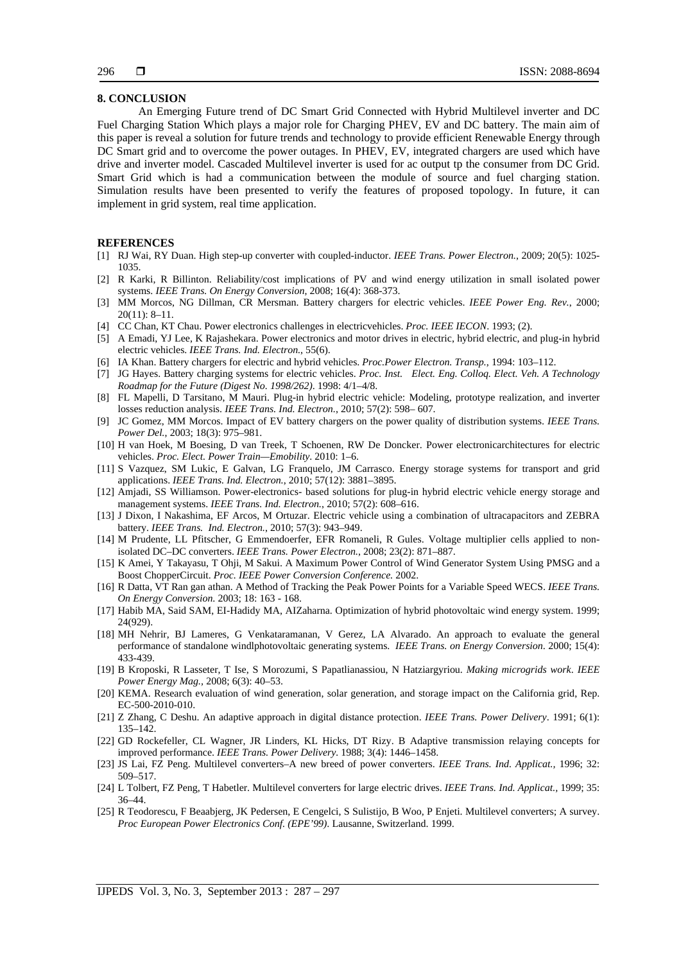# **8. CONCLUSION**

An Emerging Future trend of DC Smart Grid Connected with Hybrid Multilevel inverter and DC Fuel Charging Station Which plays a major role for Charging PHEV, EV and DC battery. The main aim of this paper is reveal a solution for future trends and technology to provide efficient Renewable Energy through DC Smart grid and to overcome the power outages. In PHEV, EV, integrated chargers are used which have drive and inverter model. Cascaded Multilevel inverter is used for ac output tp the consumer from DC Grid. Smart Grid which is had a communication between the module of source and fuel charging station. Simulation results have been presented to verify the features of proposed topology. In future, it can implement in grid system, real time application.

#### **REFERENCES**

- [1] RJ Wai, RY Duan. High step-up converter with coupled-inductor. *IEEE Trans. Power Electron.*, 2009; 20(5): 1025- 1035.
- [2] R Karki, R Billinton. Reliability/cost implications of PV and wind energy utilization in small isolated power systems. *IEEE Trans. On Energy Conversion*, 2008; 16(4): 368-373.
- [3] MM Morcos, NG Dillman, CR Mersman. Battery chargers for electric vehicles. *IEEE Power Eng. Rev.*, 2000; 20(11): 8–11.
- [4] CC Chan, KT Chau. Power electronics challenges in electricvehicles. *Proc. IEEE IECON*. 1993; (2).
- [5] A Emadi, YJ Lee, K Rajashekara. Power electronics and motor drives in electric, hybrid electric, and plug-in hybrid electric vehicles. *IEEE Trans. Ind. Electron.*, 55(6).
- [6] IA Khan. Battery chargers for electric and hybrid vehicles. *Proc.Power Electron. Transp.*, 1994: 103–112.
- [7] JG Hayes. Battery charging systems for electric vehicles. *Proc. Inst. Elect. Eng. Colloq. Elect. Veh. A Technology Roadmap for the Future (Digest No. 1998/262)*. 1998: 4/1–4/8.
- [8] FL Mapelli, D Tarsitano, M Mauri. Plug-in hybrid electric vehicle: Modeling, prototype realization, and inverter losses reduction analysis. *IEEE Trans. Ind. Electron.*, 2010; 57(2): 598– 607.
- [9] JC Gomez, MM Morcos. Impact of EV battery chargers on the power quality of distribution systems. *IEEE Trans. Power Del.*, 2003; 18(3): 975–981.
- [10] H van Hoek, M Boesing, D van Treek, T Schoenen, RW De Doncker. Power electronicarchitectures for electric vehicles. *Proc. Elect. Power Train—Emobility*. 2010: 1–6.
- [11] S Vazquez, SM Lukic, E Galvan, LG Franquelo, JM Carrasco. Energy storage systems for transport and grid applications. *IEEE Trans. Ind. Electron.*, 2010; 57(12): 3881–3895.
- [12] Amjadi, SS Williamson. Power-electronics- based solutions for plug-in hybrid electric vehicle energy storage and management systems. *IEEE Trans. Ind. Electron.*, 2010; 57(2): 608–616.
- [13] J Dixon, I Nakashima, EF Arcos, M Ortuzar. Electric vehicle using a combination of ultracapacitors and ZEBRA battery. *IEEE Trans. Ind. Electron.*, 2010; 57(3): 943–949.
- [14] M Prudente, LL Pfitscher, G Emmendoerfer, EFR Romaneli, R Gules. Voltage multiplier cells applied to nonisolated DC–DC converters. *IEEE Trans. Power Electron.*, 2008; 23(2): 871–887.
- [15] K Amei, Y Takayasu, T Ohji, M Sakui. A Maximum Power Control of Wind Generator System Using PMSG and a Boost ChopperCircuit. *Proc. IEEE Power Conversion Conference.* 2002.
- [16] R Datta, VT Ran gan athan. A Method of Tracking the Peak Power Points for a Variable Speed WECS. *IEEE Trans. On Energy Conversion*. 2003; 18: 163 - 168.
- [17] Habib MA, Said SAM, EI-Hadidy MA, AIZaharna. Optimization of hybrid photovoltaic wind energy system. 1999; 24(929).
- [18] MH Nehrir, BJ Lameres, G Venkataramanan, V Gerez, LA Alvarado. An approach to evaluate the general performance of standalone windlphotovoltaic generating systems. *IEEE Trans. on Energy Conversion*. 2000; 15(4): 433-439.
- [19] B Kroposki, R Lasseter, T Ise, S Morozumi, S Papatlianassiou, N Hatziargyriou. *Making microgrids work*. *IEEE Power Energy Mag.,* 2008; 6(3): 40–53.
- [20] KEMA. Research evaluation of wind generation, solar generation, and storage impact on the California grid, Rep. EC-500-2010-010.
- [21] Z Zhang, C Deshu. An adaptive approach in digital distance protection. *IEEE Trans. Power Delivery*. 1991; 6(1): 135–142.
- [22] GD Rockefeller, CL Wagner, JR Linders, KL Hicks, DT Rizy. B Adaptive transmission relaying concepts for improved performance. *IEEE Trans. Power Delivery.* 1988; 3(4): 1446–1458.
- [23] JS Lai, FZ Peng. Multilevel converters–A new breed of power converters. *IEEE Trans. Ind. Applicat.,* 1996; 32: 509–517.
- [24] L Tolbert, FZ Peng, T Habetler. Multilevel converters for large electric drives. *IEEE Trans. Ind. Applicat.,* 1999; 35: 36–44.
- [25] R Teodorescu, F Beaabjerg, JK Pedersen, E Cengelci, S Sulistijo, B Woo, P Enjeti. Multilevel converters; A survey. *Proc European Power Electronics Conf. (EPE'99)*. Lausanne, Switzerland. 1999.